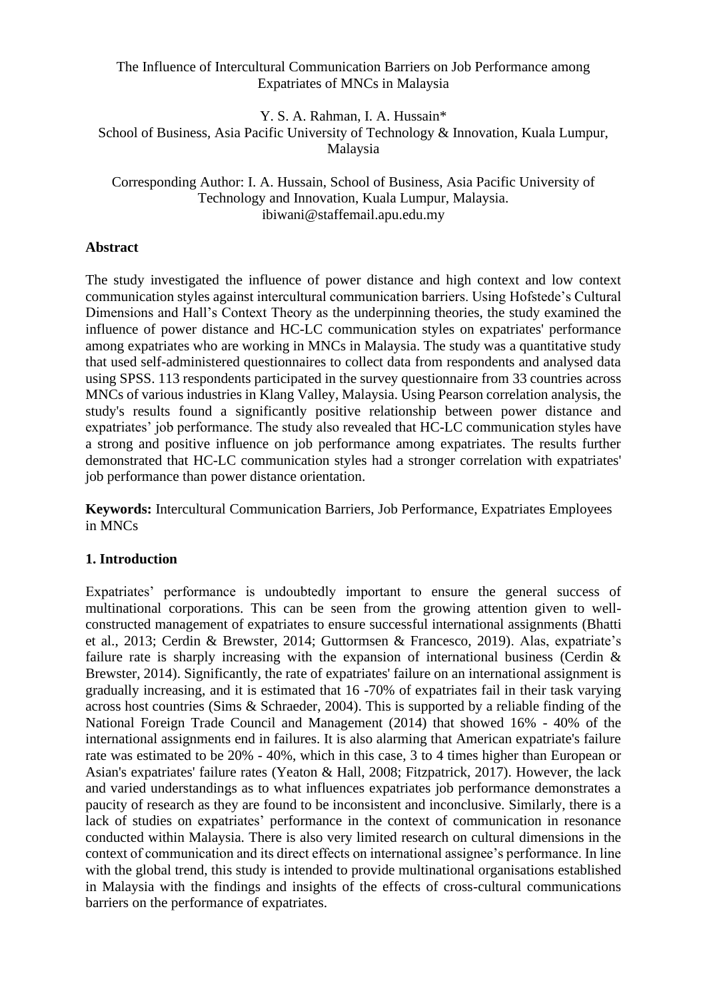# The Influence of Intercultural Communication Barriers on Job Performance among Expatriates of MNCs in Malaysia

Y. S. A. Rahman, I. A. Hussain\* School of Business, Asia Pacific University of Technology & Innovation, Kuala Lumpur, Malaysia

Corresponding Author: I. A. Hussain, School of Business, Asia Pacific University of Technology and Innovation, Kuala Lumpur, Malaysia. ibiwani@staffemail.apu.edu.my

# **Abstract**

The study investigated the influence of power distance and high context and low context communication styles against intercultural communication barriers. Using Hofstede's Cultural Dimensions and Hall's Context Theory as the underpinning theories, the study examined the influence of power distance and HC-LC communication styles on expatriates' performance among expatriates who are working in MNCs in Malaysia. The study was a quantitative study that used self-administered questionnaires to collect data from respondents and analysed data using SPSS. 113 respondents participated in the survey questionnaire from 33 countries across MNCs of various industries in Klang Valley, Malaysia. Using Pearson correlation analysis, the study's results found a significantly positive relationship between power distance and expatriates' job performance. The study also revealed that HC-LC communication styles have a strong and positive influence on job performance among expatriates. The results further demonstrated that HC-LC communication styles had a stronger correlation with expatriates' job performance than power distance orientation.

**Keywords:** Intercultural Communication Barriers, Job Performance, Expatriates Employees in MNCs

# **1. Introduction**

Expatriates' performance is undoubtedly important to ensure the general success of multinational corporations. This can be seen from the growing attention given to wellconstructed management of expatriates to ensure successful international assignments (Bhatti et al., 2013; Cerdin & Brewster, 2014; Guttormsen & Francesco, 2019). Alas, expatriate's failure rate is sharply increasing with the expansion of international business (Cerdin & Brewster, 2014). Significantly, the rate of expatriates' failure on an international assignment is gradually increasing, and it is estimated that 16 -70% of expatriates fail in their task varying across host countries (Sims & Schraeder, 2004). This is supported by a reliable finding of the National Foreign Trade Council and Management (2014) that showed 16% - 40% of the international assignments end in failures. It is also alarming that American expatriate's failure rate was estimated to be 20% - 40%, which in this case, 3 to 4 times higher than European or Asian's expatriates' failure rates (Yeaton & Hall, 2008; Fitzpatrick, 2017). However, the lack and varied understandings as to what influences expatriates job performance demonstrates a paucity of research as they are found to be inconsistent and inconclusive. Similarly, there is a lack of studies on expatriates' performance in the context of communication in resonance conducted within Malaysia. There is also very limited research on cultural dimensions in the context of communication and its direct effects on international assignee's performance. In line with the global trend, this study is intended to provide multinational organisations established in Malaysia with the findings and insights of the effects of cross-cultural communications barriers on the performance of expatriates.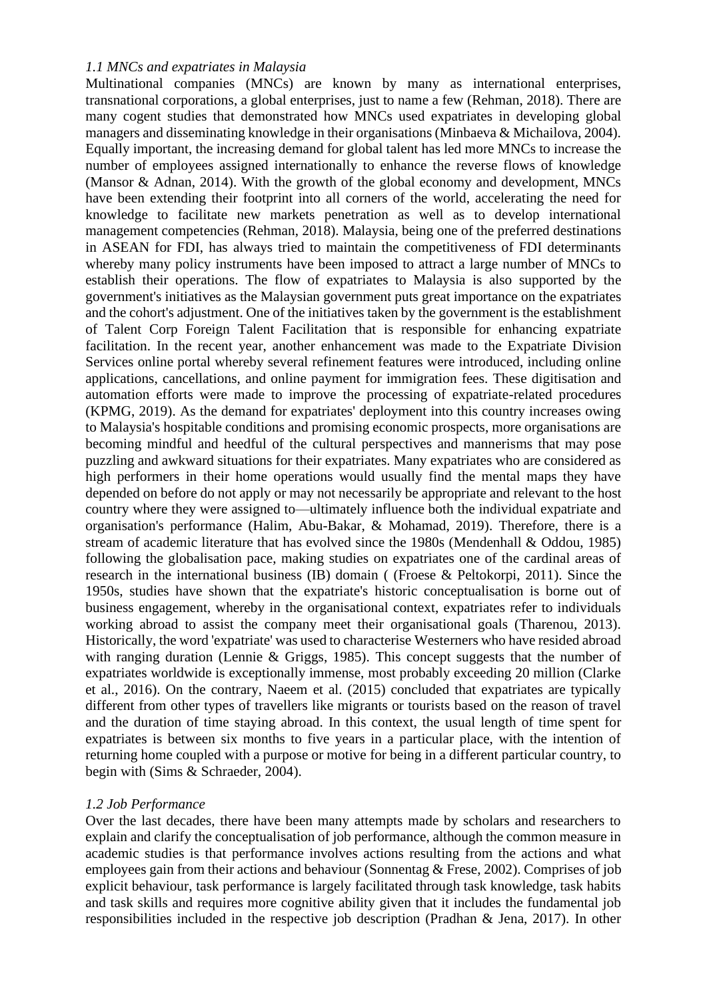### *1.1 MNCs and expatriates in Malaysia*

Multinational companies (MNCs) are known by many as international enterprises, transnational corporations, a global enterprises, just to name a few (Rehman, 2018). There are many cogent studies that demonstrated how MNCs used expatriates in developing global managers and disseminating knowledge in their organisations (Minbaeva & Michailova, 2004). Equally important, the increasing demand for global talent has led more MNCs to increase the number of employees assigned internationally to enhance the reverse flows of knowledge (Mansor & Adnan, 2014). With the growth of the global economy and development, MNCs have been extending their footprint into all corners of the world, accelerating the need for knowledge to facilitate new markets penetration as well as to develop international management competencies (Rehman, 2018). Malaysia, being one of the preferred destinations in ASEAN for FDI, has always tried to maintain the competitiveness of FDI determinants whereby many policy instruments have been imposed to attract a large number of MNCs to establish their operations. The flow of expatriates to Malaysia is also supported by the government's initiatives as the Malaysian government puts great importance on the expatriates and the cohort's adjustment. One of the initiatives taken by the government is the establishment of Talent Corp Foreign Talent Facilitation that is responsible for enhancing expatriate facilitation. In the recent year, another enhancement was made to the Expatriate Division Services online portal whereby several refinement features were introduced, including online applications, cancellations, and online payment for immigration fees. These digitisation and automation efforts were made to improve the processing of expatriate-related procedures (KPMG, 2019). As the demand for expatriates' deployment into this country increases owing to Malaysia's hospitable conditions and promising economic prospects, more organisations are becoming mindful and heedful of the cultural perspectives and mannerisms that may pose puzzling and awkward situations for their expatriates. Many expatriates who are considered as high performers in their home operations would usually find the mental maps they have depended on before do not apply or may not necessarily be appropriate and relevant to the host country where they were assigned to—ultimately influence both the individual expatriate and organisation's performance (Halim, Abu-Bakar, & Mohamad, 2019). Therefore, there is a stream of academic literature that has evolved since the 1980s (Mendenhall & Oddou, 1985) following the globalisation pace, making studies on expatriates one of the cardinal areas of research in the international business (IB) domain ( (Froese & Peltokorpi, 2011). Since the 1950s, studies have shown that the expatriate's historic conceptualisation is borne out of business engagement, whereby in the organisational context, expatriates refer to individuals working abroad to assist the company meet their organisational goals (Tharenou, 2013). Historically, the word 'expatriate' was used to characterise Westerners who have resided abroad with ranging duration (Lennie & Griggs, 1985). This concept suggests that the number of expatriates worldwide is exceptionally immense, most probably exceeding 20 million (Clarke et al., 2016). On the contrary, Naeem et al. (2015) concluded that expatriates are typically different from other types of travellers like migrants or tourists based on the reason of travel and the duration of time staying abroad. In this context, the usual length of time spent for expatriates is between six months to five years in a particular place, with the intention of returning home coupled with a purpose or motive for being in a different particular country, to begin with (Sims & Schraeder, 2004).

# *1.2 Job Performance*

Over the last decades, there have been many attempts made by scholars and researchers to explain and clarify the conceptualisation of job performance, although the common measure in academic studies is that performance involves actions resulting from the actions and what employees gain from their actions and behaviour (Sonnentag & Frese, 2002). Comprises of job explicit behaviour, task performance is largely facilitated through task knowledge, task habits and task skills and requires more cognitive ability given that it includes the fundamental job responsibilities included in the respective job description (Pradhan & Jena, 2017). In other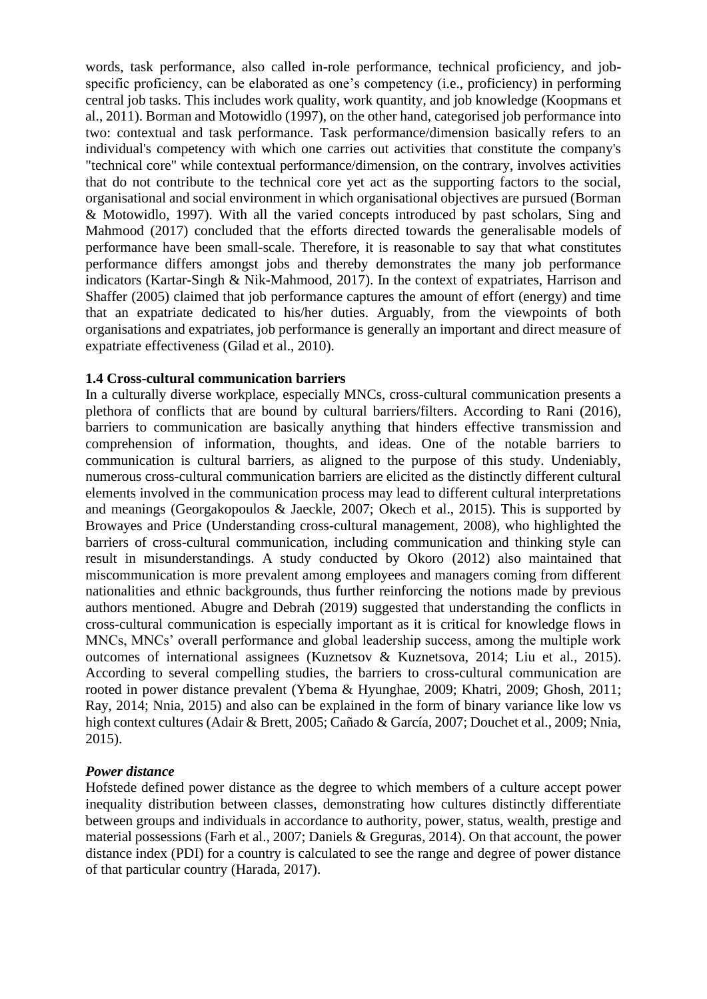words, task performance, also called in-role performance, technical proficiency, and jobspecific proficiency, can be elaborated as one's competency (i.e., proficiency) in performing central job tasks. This includes work quality, work quantity, and job knowledge (Koopmans et al., 2011). Borman and Motowidlo (1997), on the other hand, categorised job performance into two: contextual and task performance. Task performance/dimension basically refers to an individual's competency with which one carries out activities that constitute the company's "technical core" while contextual performance/dimension, on the contrary, involves activities that do not contribute to the technical core yet act as the supporting factors to the social, organisational and social environment in which organisational objectives are pursued (Borman & Motowidlo, 1997). With all the varied concepts introduced by past scholars, Sing and Mahmood (2017) concluded that the efforts directed towards the generalisable models of performance have been small-scale. Therefore, it is reasonable to say that what constitutes performance differs amongst jobs and thereby demonstrates the many job performance indicators (Kartar-Singh & Nik-Mahmood, 2017). In the context of expatriates, Harrison and Shaffer (2005) claimed that job performance captures the amount of effort (energy) and time that an expatriate dedicated to his/her duties. Arguably, from the viewpoints of both organisations and expatriates, job performance is generally an important and direct measure of expatriate effectiveness (Gilad et al., 2010).

### **1.4 Cross-cultural communication barriers**

In a culturally diverse workplace, especially MNCs, cross-cultural communication presents a plethora of conflicts that are bound by cultural barriers/filters. According to Rani (2016), barriers to communication are basically anything that hinders effective transmission and comprehension of information, thoughts, and ideas. One of the notable barriers to communication is cultural barriers, as aligned to the purpose of this study. Undeniably, numerous cross-cultural communication barriers are elicited as the distinctly different cultural elements involved in the communication process may lead to different cultural interpretations and meanings (Georgakopoulos & Jaeckle, 2007; Okech et al., 2015). This is supported by Browayes and Price (Understanding cross-cultural management, 2008), who highlighted the barriers of cross-cultural communication, including communication and thinking style can result in misunderstandings. A study conducted by Okoro (2012) also maintained that miscommunication is more prevalent among employees and managers coming from different nationalities and ethnic backgrounds, thus further reinforcing the notions made by previous authors mentioned. Abugre and Debrah (2019) suggested that understanding the conflicts in cross-cultural communication is especially important as it is critical for knowledge flows in MNCs, MNCs' overall performance and global leadership success, among the multiple work outcomes of international assignees (Kuznetsov & Kuznetsova, 2014; Liu et al., 2015). According to several compelling studies, the barriers to cross-cultural communication are rooted in power distance prevalent (Ybema & Hyunghae, 2009; Khatri, 2009; Ghosh, 2011; Ray, 2014; Nnia, 2015) and also can be explained in the form of binary variance like low vs high context cultures (Adair & Brett, 2005; Cañado & García, 2007; Douchet et al., 2009; Nnia, 2015).

# *Power distance*

Hofstede defined power distance as the degree to which members of a culture accept power inequality distribution between classes, demonstrating how cultures distinctly differentiate between groups and individuals in accordance to authority, power, status, wealth, prestige and material possessions (Farh et al., 2007; Daniels & Greguras, 2014). On that account, the power distance index (PDI) for a country is calculated to see the range and degree of power distance of that particular country (Harada, 2017).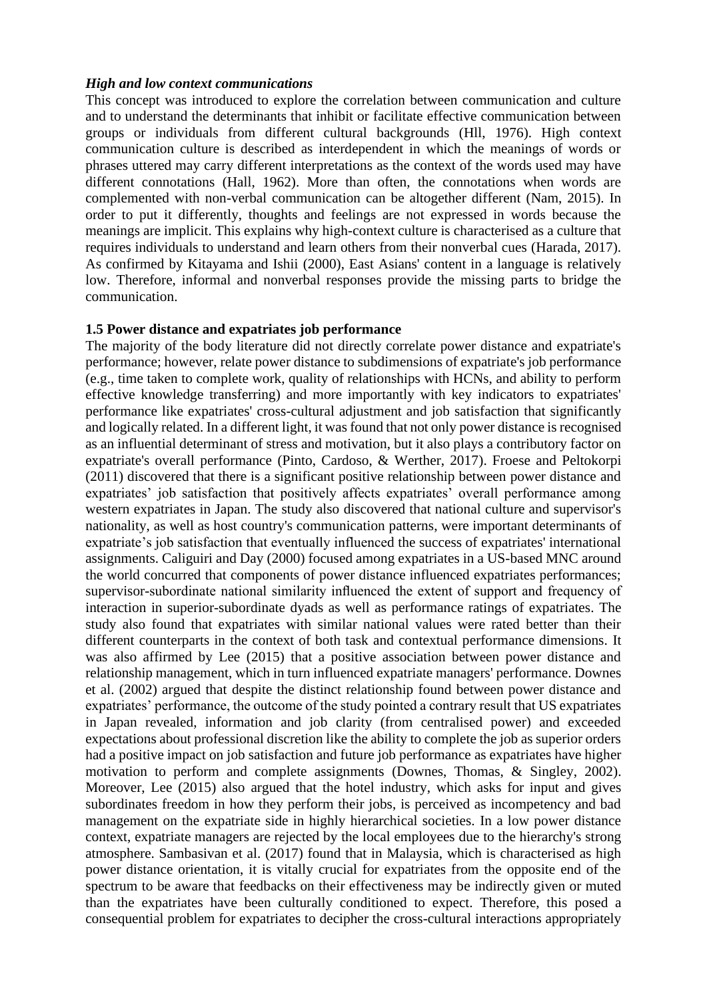### *High and low context communications*

This concept was introduced to explore the correlation between communication and culture and to understand the determinants that inhibit or facilitate effective communication between groups or individuals from different cultural backgrounds (Hll, 1976). High context communication culture is described as interdependent in which the meanings of words or phrases uttered may carry different interpretations as the context of the words used may have different connotations (Hall, 1962). More than often, the connotations when words are complemented with non-verbal communication can be altogether different (Nam, 2015). In order to put it differently, thoughts and feelings are not expressed in words because the meanings are implicit. This explains why high-context culture is characterised as a culture that requires individuals to understand and learn others from their nonverbal cues (Harada, 2017). As confirmed by Kitayama and Ishii (2000), East Asians' content in a language is relatively low. Therefore, informal and nonverbal responses provide the missing parts to bridge the communication.

#### **1.5 Power distance and expatriates job performance**

The majority of the body literature did not directly correlate power distance and expatriate's performance; however, relate power distance to subdimensions of expatriate's job performance (e.g., time taken to complete work, quality of relationships with HCNs, and ability to perform effective knowledge transferring) and more importantly with key indicators to expatriates' performance like expatriates' cross-cultural adjustment and job satisfaction that significantly and logically related. In a different light, it was found that not only power distance is recognised as an influential determinant of stress and motivation, but it also plays a contributory factor on expatriate's overall performance (Pinto, Cardoso, & Werther, 2017). Froese and Peltokorpi (2011) discovered that there is a significant positive relationship between power distance and expatriates' job satisfaction that positively affects expatriates' overall performance among western expatriates in Japan. The study also discovered that national culture and supervisor's nationality, as well as host country's communication patterns, were important determinants of expatriate's job satisfaction that eventually influenced the success of expatriates' international assignments. Caliguiri and Day (2000) focused among expatriates in a US-based MNC around the world concurred that components of power distance influenced expatriates performances; supervisor-subordinate national similarity influenced the extent of support and frequency of interaction in superior-subordinate dyads as well as performance ratings of expatriates. The study also found that expatriates with similar national values were rated better than their different counterparts in the context of both task and contextual performance dimensions. It was also affirmed by Lee (2015) that a positive association between power distance and relationship management, which in turn influenced expatriate managers' performance. Downes et al. (2002) argued that despite the distinct relationship found between power distance and expatriates' performance, the outcome of the study pointed a contrary result that US expatriates in Japan revealed, information and job clarity (from centralised power) and exceeded expectations about professional discretion like the ability to complete the job as superior orders had a positive impact on job satisfaction and future job performance as expatriates have higher motivation to perform and complete assignments (Downes, Thomas, & Singley, 2002). Moreover, Lee (2015) also argued that the hotel industry, which asks for input and gives subordinates freedom in how they perform their jobs, is perceived as incompetency and bad management on the expatriate side in highly hierarchical societies. In a low power distance context, expatriate managers are rejected by the local employees due to the hierarchy's strong atmosphere. Sambasivan et al. (2017) found that in Malaysia, which is characterised as high power distance orientation, it is vitally crucial for expatriates from the opposite end of the spectrum to be aware that feedbacks on their effectiveness may be indirectly given or muted than the expatriates have been culturally conditioned to expect. Therefore, this posed a consequential problem for expatriates to decipher the cross-cultural interactions appropriately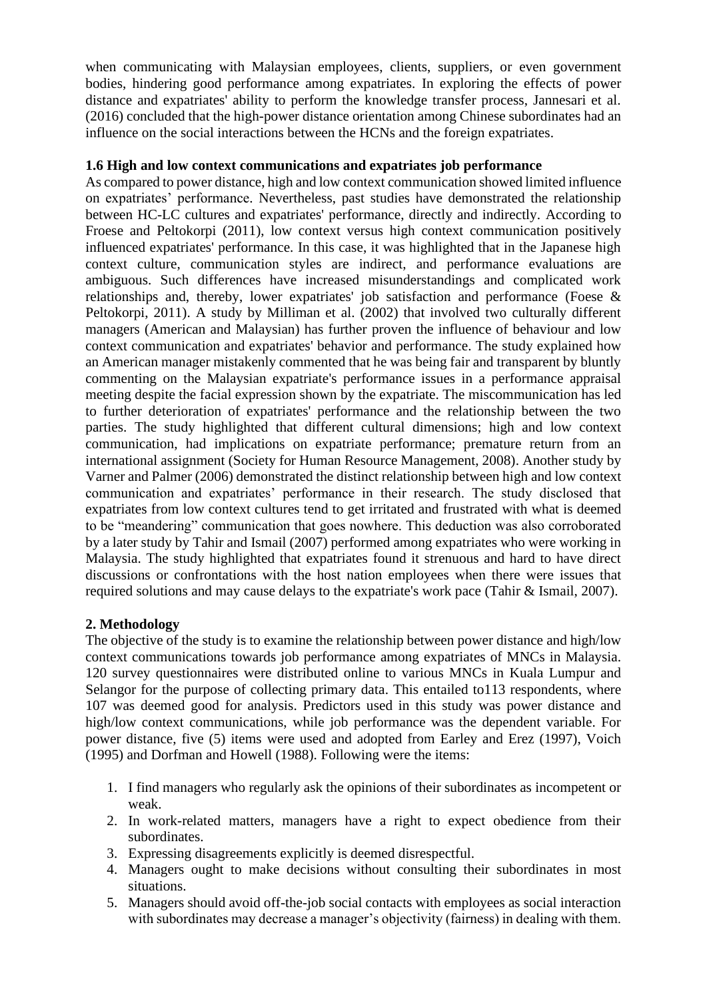when communicating with Malaysian employees, clients, suppliers, or even government bodies, hindering good performance among expatriates. In exploring the effects of power distance and expatriates' ability to perform the knowledge transfer process, Jannesari et al. (2016) concluded that the high-power distance orientation among Chinese subordinates had an influence on the social interactions between the HCNs and the foreign expatriates.

# **1.6 High and low context communications and expatriates job performance**

As compared to power distance, high and low context communication showed limited influence on expatriates' performance. Nevertheless, past studies have demonstrated the relationship between HC-LC cultures and expatriates' performance, directly and indirectly. According to Froese and Peltokorpi (2011), low context versus high context communication positively influenced expatriates' performance. In this case, it was highlighted that in the Japanese high context culture, communication styles are indirect, and performance evaluations are ambiguous. Such differences have increased misunderstandings and complicated work relationships and, thereby, lower expatriates' job satisfaction and performance (Foese & Peltokorpi, 2011). A study by Milliman et al. (2002) that involved two culturally different managers (American and Malaysian) has further proven the influence of behaviour and low context communication and expatriates' behavior and performance. The study explained how an American manager mistakenly commented that he was being fair and transparent by bluntly commenting on the Malaysian expatriate's performance issues in a performance appraisal meeting despite the facial expression shown by the expatriate. The miscommunication has led to further deterioration of expatriates' performance and the relationship between the two parties. The study highlighted that different cultural dimensions; high and low context communication, had implications on expatriate performance; premature return from an international assignment (Society for Human Resource Management, 2008). Another study by Varner and Palmer (2006) demonstrated the distinct relationship between high and low context communication and expatriates' performance in their research. The study disclosed that expatriates from low context cultures tend to get irritated and frustrated with what is deemed to be "meandering" communication that goes nowhere. This deduction was also corroborated by a later study by Tahir and Ismail (2007) performed among expatriates who were working in Malaysia. The study highlighted that expatriates found it strenuous and hard to have direct discussions or confrontations with the host nation employees when there were issues that required solutions and may cause delays to the expatriate's work pace (Tahir & Ismail, 2007).

# **2. Methodology**

The objective of the study is to examine the relationship between power distance and high/low context communications towards job performance among expatriates of MNCs in Malaysia. 120 survey questionnaires were distributed online to various MNCs in Kuala Lumpur and Selangor for the purpose of collecting primary data. This entailed to 113 respondents, where 107 was deemed good for analysis. Predictors used in this study was power distance and high/low context communications, while job performance was the dependent variable. For power distance, five (5) items were used and adopted from Earley and Erez (1997), Voich (1995) and Dorfman and Howell (1988). Following were the items:

- 1. I find managers who regularly ask the opinions of their subordinates as incompetent or weak.
- 2. In work-related matters, managers have a right to expect obedience from their subordinates.
- 3. Expressing disagreements explicitly is deemed disrespectful.
- 4. Managers ought to make decisions without consulting their subordinates in most situations.
- 5. Managers should avoid off-the-job social contacts with employees as social interaction with subordinates may decrease a manager's objectivity (fairness) in dealing with them.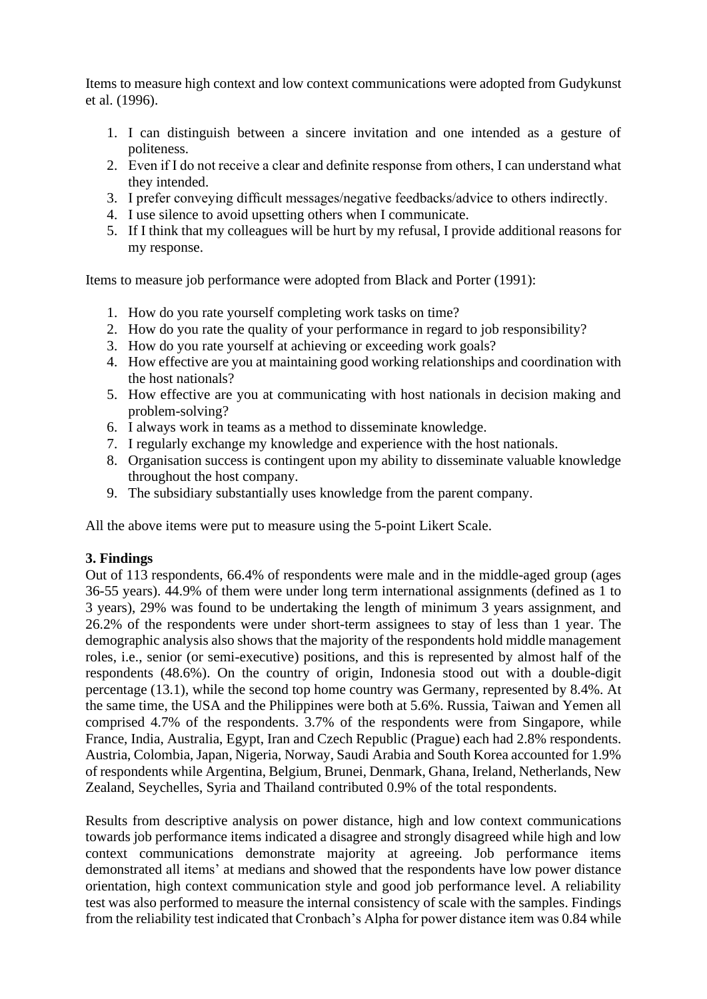Items to measure high context and low context communications were adopted from Gudykunst et al. (1996).

- 1. I can distinguish between a sincere invitation and one intended as a gesture of politeness.
- 2. Even if I do not receive a clear and definite response from others, I can understand what they intended.
- 3. I prefer conveying difficult messages/negative feedbacks/advice to others indirectly.
- 4. I use silence to avoid upsetting others when I communicate.
- 5. If I think that my colleagues will be hurt by my refusal, I provide additional reasons for my response.

Items to measure job performance were adopted from Black and Porter (1991):

- 1. How do you rate yourself completing work tasks on time?
- 2. How do you rate the quality of your performance in regard to job responsibility?
- 3. How do you rate yourself at achieving or exceeding work goals?
- 4. How effective are you at maintaining good working relationships and coordination with the host nationals?
- 5. How effective are you at communicating with host nationals in decision making and problem-solving?
- 6. I always work in teams as a method to disseminate knowledge.
- 7. I regularly exchange my knowledge and experience with the host nationals.
- 8. Organisation success is contingent upon my ability to disseminate valuable knowledge throughout the host company.
- 9. The subsidiary substantially uses knowledge from the parent company.

All the above items were put to measure using the 5-point Likert Scale.

# **3. Findings**

Out of 113 respondents, 66.4% of respondents were male and in the middle-aged group (ages 36-55 years). 44.9% of them were under long term international assignments (defined as 1 to 3 years), 29% was found to be undertaking the length of minimum 3 years assignment, and 26.2% of the respondents were under short-term assignees to stay of less than 1 year. The demographic analysis also shows that the majority of the respondents hold middle management roles, i.e., senior (or semi-executive) positions, and this is represented by almost half of the respondents (48.6%). On the country of origin, Indonesia stood out with a double-digit percentage (13.1), while the second top home country was Germany, represented by 8.4%. At the same time, the USA and the Philippines were both at 5.6%. Russia, Taiwan and Yemen all comprised 4.7% of the respondents. 3.7% of the respondents were from Singapore, while France, India, Australia, Egypt, Iran and Czech Republic (Prague) each had 2.8% respondents. Austria, Colombia, Japan, Nigeria, Norway, Saudi Arabia and South Korea accounted for 1.9% of respondents while Argentina, Belgium, Brunei, Denmark, Ghana, Ireland, Netherlands, New Zealand, Seychelles, Syria and Thailand contributed 0.9% of the total respondents.

Results from descriptive analysis on power distance, high and low context communications towards job performance items indicated a disagree and strongly disagreed while high and low context communications demonstrate majority at agreeing. Job performance items demonstrated all items' at medians and showed that the respondents have low power distance orientation, high context communication style and good job performance level. A reliability test was also performed to measure the internal consistency of scale with the samples. Findings from the reliability test indicated that Cronbach's Alpha for power distance item was 0.84 while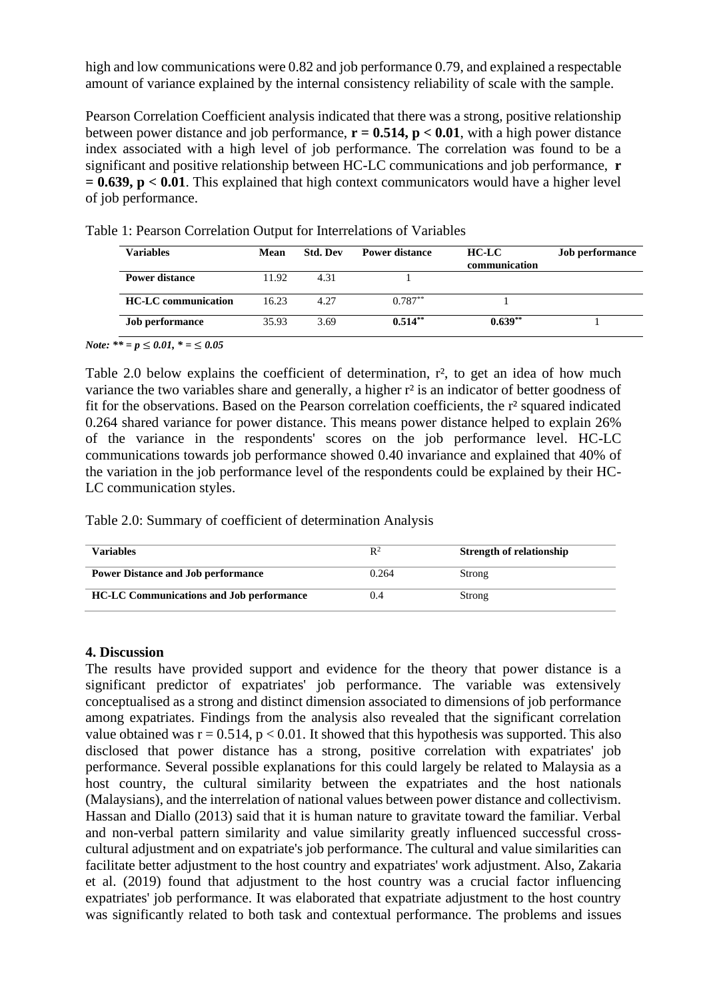high and low communications were 0.82 and job performance 0.79, and explained a respectable amount of variance explained by the internal consistency reliability of scale with the sample.

Pearson Correlation Coefficient analysis indicated that there was a strong, positive relationship between power distance and job performance,  $\mathbf{r} = 0.514$ ,  $\mathbf{p} < 0.01$ , with a high power distance index associated with a high level of job performance. The correlation was found to be a significant and positive relationship between HC-LC communications and job performance, **r = 0.639, p < 0.01**. This explained that high context communicators would have a higher level of job performance.

| <b>Variables</b>           | Mean  | <b>Std. Dev</b> | <b>Power distance</b> | HC-LC<br>communication | <b>Job performance</b> |
|----------------------------|-------|-----------------|-----------------------|------------------------|------------------------|
| Power distance             | 11.92 | 4.31            |                       |                        |                        |
| <b>HC-LC</b> communication | 16.23 | 4.27            | $0.787**$             |                        |                        |
| <b>Job performance</b>     | 35.93 | 3.69            | $0.514**$             | $0.639**$              |                        |

Table 1: Pearson Correlation Output for Interrelations of Variables

*Note:* \*\* = *p* ≤ *0.01*, \* = ≤ *0.05* 

Table 2.0 below explains the coefficient of determination, r<sup>2</sup>, to get an idea of how much variance the two variables share and generally, a higher r<sup>2</sup> is an indicator of better goodness of fit for the observations. Based on the Pearson correlation coefficients, the r² squared indicated 0.264 shared variance for power distance. This means power distance helped to explain 26% of the variance in the respondents' scores on the job performance level. HC-LC communications towards job performance showed 0.40 invariance and explained that 40% of the variation in the job performance level of the respondents could be explained by their HC-LC communication styles.

Table 2.0: Summary of coefficient of determination Analysis

| Variables                                       | $R^2$ | <b>Strength of relationship</b> |
|-------------------------------------------------|-------|---------------------------------|
| <b>Power Distance and Job performance</b>       | 0.264 | Strong                          |
| <b>HC-LC Communications and Job performance</b> | 0.4   | Strong                          |

# **4. Discussion**

The results have provided support and evidence for the theory that power distance is a significant predictor of expatriates' job performance. The variable was extensively conceptualised as a strong and distinct dimension associated to dimensions of job performance among expatriates. Findings from the analysis also revealed that the significant correlation value obtained was  $r = 0.514$ ,  $p < 0.01$ . It showed that this hypothesis was supported. This also disclosed that power distance has a strong, positive correlation with expatriates' job performance. Several possible explanations for this could largely be related to Malaysia as a host country, the cultural similarity between the expatriates and the host nationals (Malaysians), and the interrelation of national values between power distance and collectivism. Hassan and Diallo (2013) said that it is human nature to gravitate toward the familiar. Verbal and non-verbal pattern similarity and value similarity greatly influenced successful crosscultural adjustment and on expatriate's job performance. The cultural and value similarities can facilitate better adjustment to the host country and expatriates' work adjustment. Also, Zakaria et al. (2019) found that adjustment to the host country was a crucial factor influencing expatriates' job performance. It was elaborated that expatriate adjustment to the host country was significantly related to both task and contextual performance. The problems and issues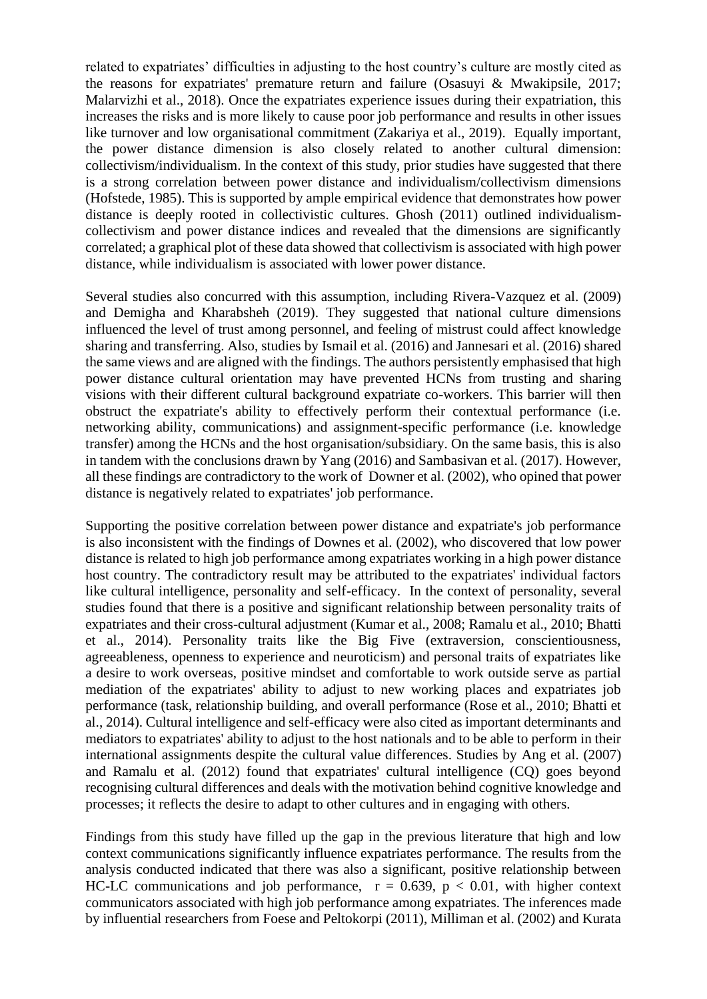related to expatriates' difficulties in adjusting to the host country's culture are mostly cited as the reasons for expatriates' premature return and failure (Osasuyi & Mwakipsile, 2017; Malarvizhi et al., 2018). Once the expatriates experience issues during their expatriation, this increases the risks and is more likely to cause poor job performance and results in other issues like turnover and low organisational commitment (Zakariya et al., 2019). Equally important, the power distance dimension is also closely related to another cultural dimension: collectivism/individualism. In the context of this study, prior studies have suggested that there is a strong correlation between power distance and individualism/collectivism dimensions (Hofstede, 1985). This is supported by ample empirical evidence that demonstrates how power distance is deeply rooted in collectivistic cultures. Ghosh (2011) outlined individualismcollectivism and power distance indices and revealed that the dimensions are significantly correlated; a graphical plot of these data showed that collectivism is associated with high power distance, while individualism is associated with lower power distance.

Several studies also concurred with this assumption, including Rivera-Vazquez et al. (2009) and Demigha and Kharabsheh (2019). They suggested that national culture dimensions influenced the level of trust among personnel, and feeling of mistrust could affect knowledge sharing and transferring. Also, studies by Ismail et al. (2016) and Jannesari et al. (2016) shared the same views and are aligned with the findings. The authors persistently emphasised that high power distance cultural orientation may have prevented HCNs from trusting and sharing visions with their different cultural background expatriate co-workers. This barrier will then obstruct the expatriate's ability to effectively perform their contextual performance (i.e. networking ability, communications) and assignment-specific performance (i.e. knowledge transfer) among the HCNs and the host organisation/subsidiary. On the same basis, this is also in tandem with the conclusions drawn by Yang (2016) and Sambasivan et al. (2017). However, all these findings are contradictory to the work of Downer et al. (2002), who opined that power distance is negatively related to expatriates' job performance.

Supporting the positive correlation between power distance and expatriate's job performance is also inconsistent with the findings of Downes et al. (2002), who discovered that low power distance is related to high job performance among expatriates working in a high power distance host country. The contradictory result may be attributed to the expatriates' individual factors like cultural intelligence, personality and self-efficacy. In the context of personality, several studies found that there is a positive and significant relationship between personality traits of expatriates and their cross-cultural adjustment (Kumar et al., 2008; Ramalu et al., 2010; Bhatti et al., 2014). Personality traits like the Big Five (extraversion, conscientiousness, agreeableness, openness to experience and neuroticism) and personal traits of expatriates like a desire to work overseas, positive mindset and comfortable to work outside serve as partial mediation of the expatriates' ability to adjust to new working places and expatriates job performance (task, relationship building, and overall performance (Rose et al., 2010; Bhatti et al., 2014). Cultural intelligence and self-efficacy were also cited as important determinants and mediators to expatriates' ability to adjust to the host nationals and to be able to perform in their international assignments despite the cultural value differences. Studies by Ang et al. (2007) and Ramalu et al. (2012) found that expatriates' cultural intelligence (CQ) goes beyond recognising cultural differences and deals with the motivation behind cognitive knowledge and processes; it reflects the desire to adapt to other cultures and in engaging with others.

Findings from this study have filled up the gap in the previous literature that high and low context communications significantly influence expatriates performance. The results from the analysis conducted indicated that there was also a significant, positive relationship between HC-LC communications and job performance,  $r = 0.639$ ,  $p < 0.01$ , with higher context communicators associated with high job performance among expatriates. The inferences made by influential researchers from Foese and Peltokorpi (2011), Milliman et al. (2002) and Kurata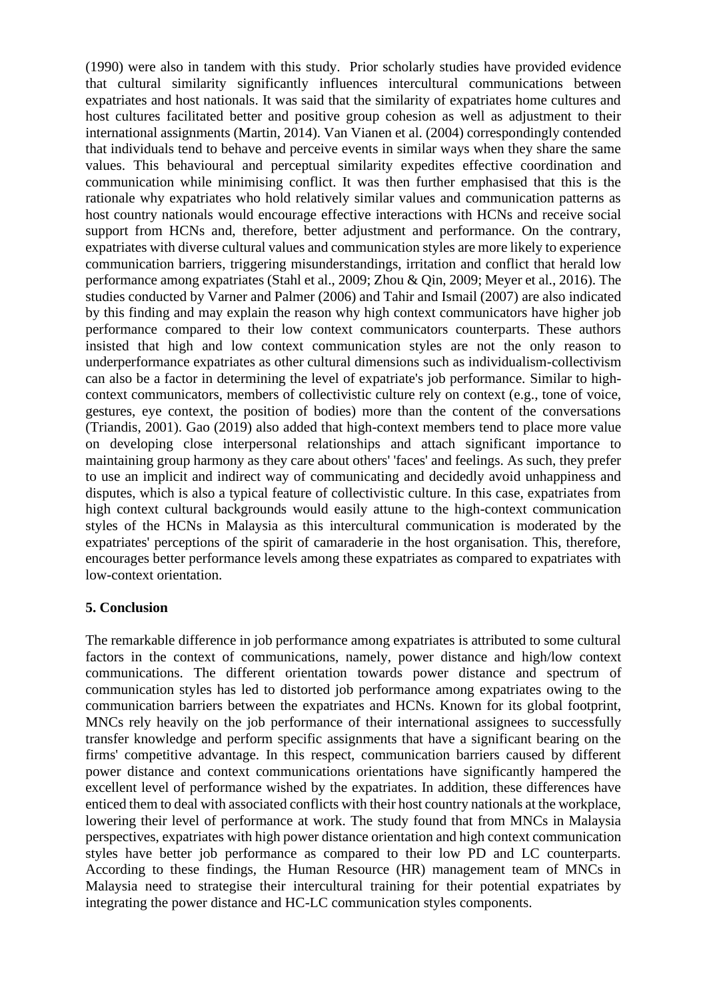(1990) were also in tandem with this study. Prior scholarly studies have provided evidence that cultural similarity significantly influences intercultural communications between expatriates and host nationals. It was said that the similarity of expatriates home cultures and host cultures facilitated better and positive group cohesion as well as adjustment to their international assignments (Martin, 2014). Van Vianen et al. (2004) correspondingly contended that individuals tend to behave and perceive events in similar ways when they share the same values. This behavioural and perceptual similarity expedites effective coordination and communication while minimising conflict. It was then further emphasised that this is the rationale why expatriates who hold relatively similar values and communication patterns as host country nationals would encourage effective interactions with HCNs and receive social support from HCNs and, therefore, better adjustment and performance. On the contrary, expatriates with diverse cultural values and communication styles are more likely to experience communication barriers, triggering misunderstandings, irritation and conflict that herald low performance among expatriates (Stahl et al., 2009; Zhou & Qin, 2009; Meyer et al., 2016). The studies conducted by Varner and Palmer (2006) and Tahir and Ismail (2007) are also indicated by this finding and may explain the reason why high context communicators have higher job performance compared to their low context communicators counterparts. These authors insisted that high and low context communication styles are not the only reason to underperformance expatriates as other cultural dimensions such as individualism-collectivism can also be a factor in determining the level of expatriate's job performance. Similar to highcontext communicators, members of collectivistic culture rely on context (e.g., tone of voice, gestures, eye context, the position of bodies) more than the content of the conversations (Triandis, 2001). Gao (2019) also added that high-context members tend to place more value on developing close interpersonal relationships and attach significant importance to maintaining group harmony as they care about others' 'faces' and feelings. As such, they prefer to use an implicit and indirect way of communicating and decidedly avoid unhappiness and disputes, which is also a typical feature of collectivistic culture. In this case, expatriates from high context cultural backgrounds would easily attune to the high-context communication styles of the HCNs in Malaysia as this intercultural communication is moderated by the expatriates' perceptions of the spirit of camaraderie in the host organisation. This, therefore, encourages better performance levels among these expatriates as compared to expatriates with low-context orientation.

# **5. Conclusion**

The remarkable difference in job performance among expatriates is attributed to some cultural factors in the context of communications, namely, power distance and high/low context communications. The different orientation towards power distance and spectrum of communication styles has led to distorted job performance among expatriates owing to the communication barriers between the expatriates and HCNs. Known for its global footprint, MNCs rely heavily on the job performance of their international assignees to successfully transfer knowledge and perform specific assignments that have a significant bearing on the firms' competitive advantage. In this respect, communication barriers caused by different power distance and context communications orientations have significantly hampered the excellent level of performance wished by the expatriates. In addition, these differences have enticed them to deal with associated conflicts with their host country nationals at the workplace, lowering their level of performance at work. The study found that from MNCs in Malaysia perspectives, expatriates with high power distance orientation and high context communication styles have better job performance as compared to their low PD and LC counterparts. According to these findings, the Human Resource (HR) management team of MNCs in Malaysia need to strategise their intercultural training for their potential expatriates by integrating the power distance and HC-LC communication styles components.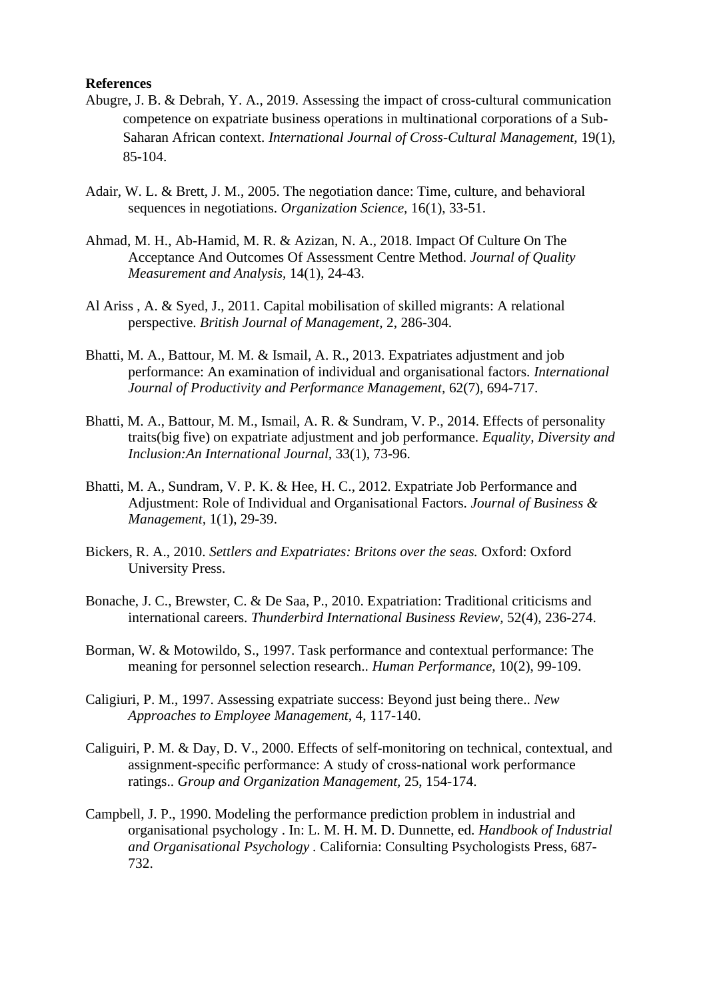#### **References**

- Abugre, J. B. & Debrah, Y. A., 2019. Assessing the impact of cross-cultural communication competence on expatriate business operations in multinational corporations of a Sub-Saharan African context. *International Journal of Cross-Cultural Management,* 19(1), 85-104.
- Adair, W. L. & Brett, J. M., 2005. The negotiation dance: Time, culture, and behavioral sequences in negotiations. *Organization Science,* 16(1), 33-51.
- Ahmad, M. H., Ab-Hamid, M. R. & Azizan, N. A., 2018. Impact Of Culture On The Acceptance And Outcomes Of Assessment Centre Method. *Journal of Quality Measurement and Analysis,* 14(1), 24-43.
- Al Ariss , A. & Syed, J., 2011. Capital mobilisation of skilled migrants: A relational perspective. *British Journal of Management,* 2, 286-304.
- Bhatti, M. A., Battour, M. M. & Ismail, A. R., 2013. Expatriates adjustment and job performance: An examination of individual and organisational factors. *International Journal of Productivity and Performance Management,* 62(7), 694-717.
- Bhatti, M. A., Battour, M. M., Ismail, A. R. & Sundram, V. P., 2014. Effects of personality traits(big five) on expatriate adjustment and job performance. *Equality, Diversity and Inclusion:An International Journal,* 33(1), 73-96.
- Bhatti, M. A., Sundram, V. P. K. & Hee, H. C., 2012. Expatriate Job Performance and Adjustment: Role of Individual and Organisational Factors. *Journal of Business & Management,* 1(1), 29-39.
- Bickers, R. A., 2010. *Settlers and Expatriates: Britons over the seas.* Oxford: Oxford University Press.
- Bonache, J. C., Brewster, C. & De Saa, P., 2010. Expatriation: Traditional criticisms and international careers. *Thunderbird International Business Review,* 52(4), 236-274.
- Borman, W. & Motowildo, S., 1997. Task performance and contextual performance: The meaning for personnel selection research.. *Human Performance,* 10(2), 99-109.
- Caligiuri, P. M., 1997. Assessing expatriate success: Beyond just being there.. *New Approaches to Employee Management,* 4, 117-140.
- Caliguiri, P. M. & Day, D. V., 2000. Effects of self-monitoring on technical, contextual, and assignment-specific performance: A study of cross-national work performance ratings.. *Group and Organization Management,* 25, 154-174.
- Campbell, J. P., 1990. Modeling the performance prediction problem in industrial and organisational psychology . In: L. M. H. M. D. Dunnette, ed. *Handbook of Industrial and Organisational Psychology .* California: Consulting Psychologists Press, 687- 732.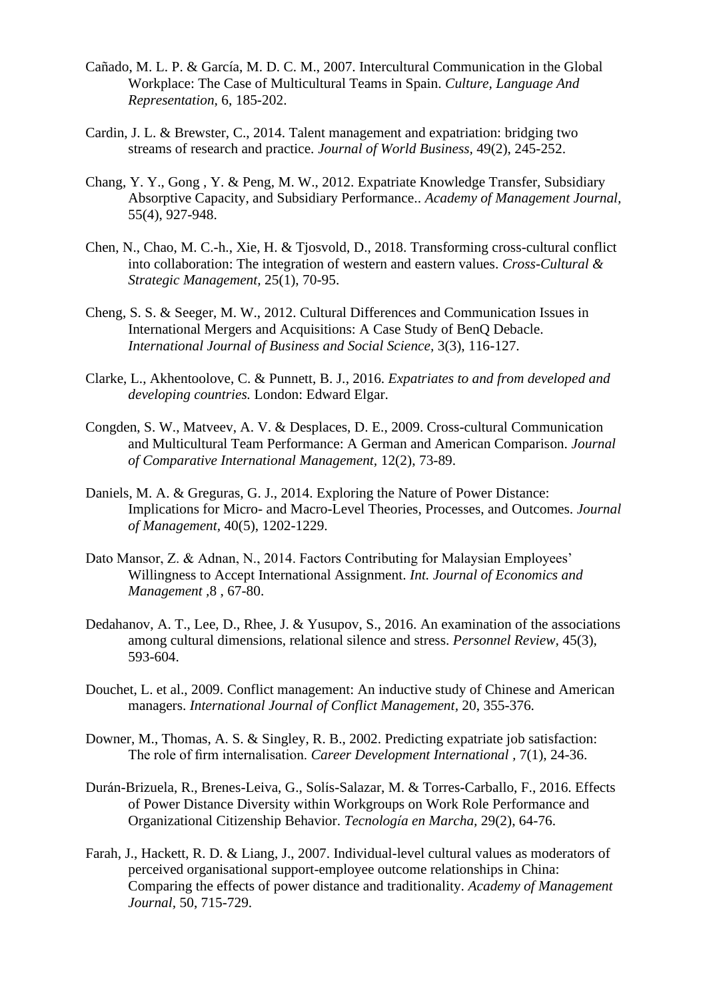- Cañado, M. L. P. & García, M. D. C. M., 2007. Intercultural Communication in the Global Workplace: The Case of Multicultural Teams in Spain. *Culture, Language And Representation,* 6, 185-202.
- Cardin, J. L. & Brewster, C., 2014. Talent management and expatriation: bridging two streams of research and practice. *Journal of World Business,* 49(2), 245-252.
- Chang, Y. Y., Gong , Y. & Peng, M. W., 2012. Expatriate Knowledge Transfer, Subsidiary Absorptive Capacity, and Subsidiary Performance.. *Academy of Management Journal,*  55(4), 927-948.
- Chen, N., Chao, M. C.-h., Xie, H. & Tjosvold, D., 2018. Transforming cross-cultural conflict into collaboration: The integration of western and eastern values. *Cross-Cultural & Strategic Management,* 25(1), 70-95.
- Cheng, S. S. & Seeger, M. W., 2012. Cultural Differences and Communication Issues in International Mergers and Acquisitions: A Case Study of BenQ Debacle. *International Journal of Business and Social Science,* 3(3), 116-127.
- Clarke, L., Akhentoolove, C. & Punnett, B. J., 2016. *Expatriates to and from developed and developing countries.* London: Edward Elgar.
- Congden, S. W., Matveev, A. V. & Desplaces, D. E., 2009. Cross-cultural Communication and Multicultural Team Performance: A German and American Comparison. *Journal of Comparative International Management,* 12(2), 73-89.
- Daniels, M. A. & Greguras, G. J., 2014. Exploring the Nature of Power Distance: Implications for Micro- and Macro-Level Theories, Processes, and Outcomes. *Journal of Management,* 40(5), 1202-1229.
- Dato Mansor, Z. & Adnan, N., 2014. Factors Contributing for Malaysian Employees' Willingness to Accept International Assignment. *Int. Journal of Economics and Management ,*8 , 67-80.
- Dedahanov, A. T., Lee, D., Rhee, J. & Yusupov, S., 2016. An examination of the associations among cultural dimensions, relational silence and stress. *Personnel Review,* 45(3), 593-604.
- Douchet, L. et al., 2009. Conflict management: An inductive study of Chinese and American managers. *International Journal of Conflict Management,* 20, 355-376.
- Downer, M., Thomas, A. S. & Singley, R. B., 2002. Predicting expatriate job satisfaction: The role of firm internalisation. *Career Development International ,* 7(1), 24-36.
- Durán-Brizuela, R., Brenes-Leiva, G., Solís-Salazar, M. & Torres-Carballo, F., 2016. Effects of Power Distance Diversity within Workgroups on Work Role Performance and Organizational Citizenship Behavior. *Tecnología en Marcha,* 29(2), 64-76.
- Farah, J., Hackett, R. D. & Liang, J., 2007. Individual-level cultural values as moderators of perceived organisational support-employee outcome relationships in China: Comparing the effects of power distance and traditionality. *Academy of Management Journal,* 50, 715-729.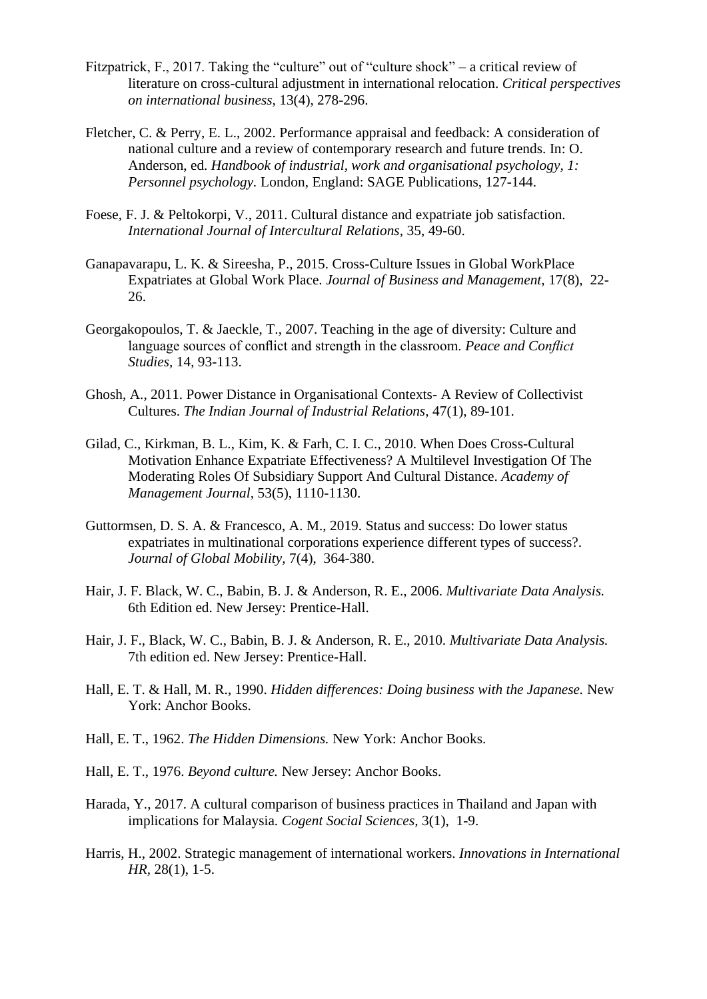- Fitzpatrick, F., 2017. Taking the "culture" out of "culture shock" a critical review of literature on cross-cultural adjustment in international relocation. *Critical perspectives on international business,* 13(4), 278-296.
- Fletcher, C. & Perry, E. L., 2002. Performance appraisal and feedback: A consideration of national culture and a review of contemporary research and future trends. In: O. Anderson, ed. *Handbook of industrial, work and organisational psychology, 1: Personnel psychology.* London, England: SAGE Publications, 127-144.
- Foese, F. J. & Peltokorpi, V., 2011. Cultural distance and expatriate job satisfaction. *International Journal of Intercultural Relations,* 35, 49-60.
- Ganapavarapu, L. K. & Sireesha, P., 2015. Cross-Culture Issues in Global WorkPlace Expatriates at Global Work Place. *Journal of Business and Management,* 17(8), 22- 26.
- Georgakopoulos, T. & Jaeckle, T., 2007. Teaching in the age of diversity: Culture and language sources of conflict and strength in the classroom. *Peace and Conflict Studies,* 14, 93-113.
- Ghosh, A., 2011. Power Distance in Organisational Contexts- A Review of Collectivist Cultures. *The Indian Journal of Industrial Relations,* 47(1), 89-101.
- Gilad, C., Kirkman, B. L., Kim, K. & Farh, C. I. C., 2010. When Does Cross-Cultural Motivation Enhance Expatriate Effectiveness? A Multilevel Investigation Of The Moderating Roles Of Subsidiary Support And Cultural Distance. *Academy of Management Journal,* 53(5), 1110-1130.
- Guttormsen, D. S. A. & Francesco, A. M., 2019. Status and success: Do lower status expatriates in multinational corporations experience different types of success?. *Journal of Global Mobility,* 7(4), 364-380.
- Hair, J. F. Black, W. C., Babin, B. J. & Anderson, R. E., 2006. *Multivariate Data Analysis.*  6th Edition ed. New Jersey: Prentice-Hall.
- Hair, J. F., Black, W. C., Babin, B. J. & Anderson, R. E., 2010. *Multivariate Data Analysis.*  7th edition ed. New Jersey: Prentice-Hall.
- Hall, E. T. & Hall, M. R., 1990. *Hidden differences: Doing business with the Japanese.* New York: Anchor Books.
- Hall, E. T., 1962. *The Hidden Dimensions.* New York: Anchor Books.
- Hall, E. T., 1976. *Beyond culture.* New Jersey: Anchor Books.
- Harada, Y., 2017. A cultural comparison of business practices in Thailand and Japan with implications for Malaysia. *Cogent Social Sciences,* 3(1), 1-9.
- Harris, H., 2002. Strategic management of international workers. *Innovations in International HR,* 28(1), 1-5.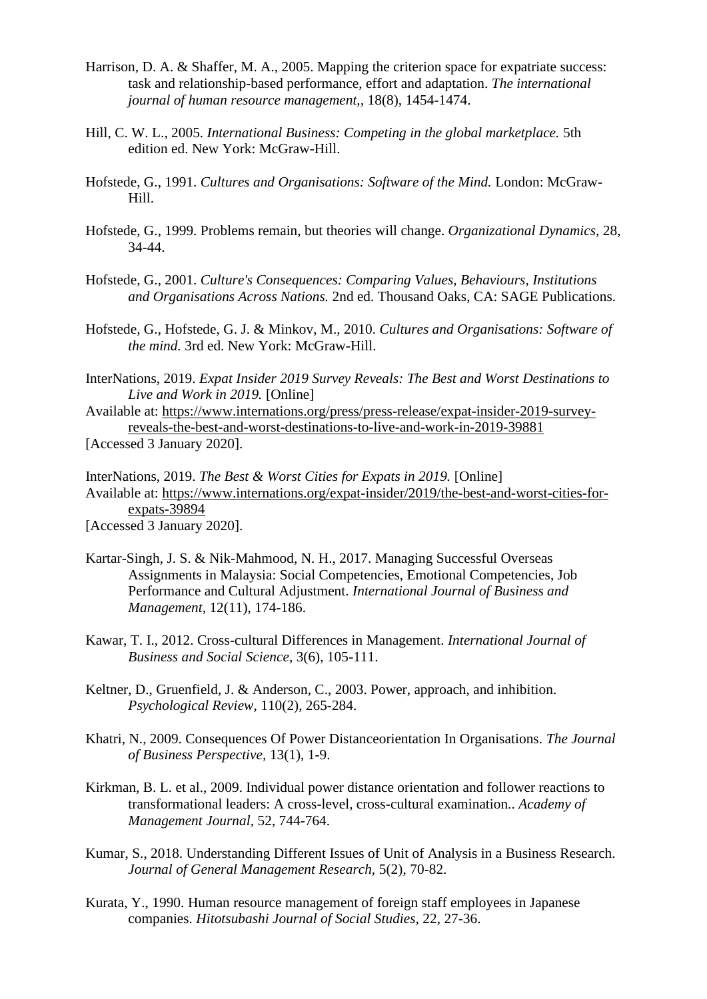- Harrison, D. A. & Shaffer, M. A., 2005. Mapping the criterion space for expatriate success: task and relationship-based performance, effort and adaptation. *The international journal of human resource management,,* 18(8), 1454-1474.
- Hill, C. W. L., 2005. *International Business: Competing in the global marketplace.* 5th edition ed. New York: McGraw-Hill.
- Hofstede, G., 1991. *Cultures and Organisations: Software of the Mind.* London: McGraw-Hill.
- Hofstede, G., 1999. Problems remain, but theories will change. *Organizational Dynamics,* 28, 34-44.
- Hofstede, G., 2001. *Culture's Consequences: Comparing Values, Behaviours, Institutions and Organisations Across Nations.* 2nd ed. Thousand Oaks, CA: SAGE Publications.
- Hofstede, G., Hofstede, G. J. & Minkov, M., 2010. *Cultures and Organisations: Software of the mind.* 3rd ed. New York: McGraw-Hill.
- InterNations, 2019. *Expat Insider 2019 Survey Reveals: The Best and Worst Destinations to Live and Work in 2019.* [Online]

Available at: https://www.internations.org/press/press-release/expat-insider-2019-surveyreveals-the-best-and-worst-destinations-to-live-and-work-in-2019-39881 [Accessed 3 January 2020].

InterNations, 2019. *The Best & Worst Cities for Expats in 2019.* [Online] Available at: https://www.internations.org/expat-insider/2019/the-best-and-worst-cities-forexpats-39894 [Accessed 3 January 2020].

Kartar-Singh, J. S. & Nik-Mahmood, N. H., 2017. Managing Successful Overseas Assignments in Malaysia: Social Competencies, Emotional Competencies, Job Performance and Cultural Adjustment. *International Journal of Business and Management,* 12(11), 174-186.

- Kawar, T. I., 2012. Cross-cultural Differences in Management. *International Journal of Business and Social Science,* 3(6), 105-111.
- Keltner, D., Gruenfield, J. & Anderson, C., 2003. Power, approach, and inhibition. *Psychological Review,* 110(2), 265-284.
- Khatri, N., 2009. Consequences Of Power Distanceorientation In Organisations. *The Journal of Business Perspective,* 13(1), 1-9.
- Kirkman, B. L. et al., 2009. Individual power distance orientation and follower reactions to transformational leaders: A cross-level, cross-cultural examination.. *Academy of Management Journal,* 52, 744-764.
- Kumar, S., 2018. Understanding Different Issues of Unit of Analysis in a Business Research. *Journal of General Management Research,* 5(2), 70-82.
- Kurata, Y., 1990. Human resource management of foreign staff employees in Japanese companies. *Hitotsubashi Journal of Social Studies,* 22, 27-36.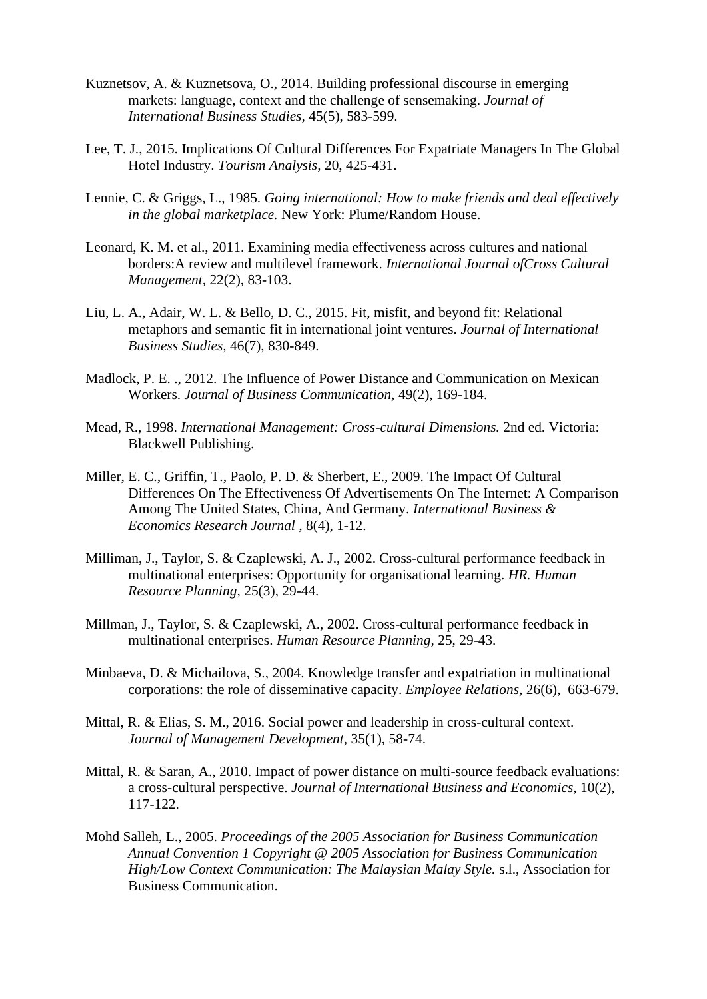- Kuznetsov, A. & Kuznetsova, O., 2014. Building professional discourse in emerging markets: language, context and the challenge of sensemaking. *Journal of International Business Studies,* 45(5), 583-599.
- Lee, T. J., 2015. Implications Of Cultural Differences For Expatriate Managers In The Global Hotel Industry. *Tourism Analysis,* 20, 425-431.
- Lennie, C. & Griggs, L., 1985. *Going international: How to make friends and deal effectively in the global marketplace.* New York: Plume/Random House.
- Leonard, K. M. et al., 2011. Examining media effectiveness across cultures and national borders:A review and multilevel framework. *International Journal ofCross Cultural Management,* 22(2), 83-103.
- Liu, L. A., Adair, W. L. & Bello, D. C., 2015. Fit, misfit, and beyond fit: Relational metaphors and semantic fit in international joint ventures. *Journal of International Business Studies,* 46(7), 830-849.
- Madlock, P. E. ., 2012. The Influence of Power Distance and Communication on Mexican Workers. *Journal of Business Communication,* 49(2), 169-184.
- Mead, R., 1998. *International Management: Cross-cultural Dimensions.* 2nd ed. Victoria: Blackwell Publishing.
- Miller, E. C., Griffin, T., Paolo, P. D. & Sherbert, E., 2009. The Impact Of Cultural Differences On The Effectiveness Of Advertisements On The Internet: A Comparison Among The United States, China, And Germany. *International Business & Economics Research Journal ,* 8(4), 1-12.
- Milliman, J., Taylor, S. & Czaplewski, A. J., 2002. Cross-cultural performance feedback in multinational enterprises: Opportunity for organisational learning. *HR. Human Resource Planning,* 25(3), 29-44.
- Millman, J., Taylor, S. & Czaplewski, A., 2002. Cross-cultural performance feedback in multinational enterprises. *Human Resource Planning,* 25, 29-43.
- Minbaeva, D. & Michailova, S., 2004. Knowledge transfer and expatriation in multinational corporations: the role of disseminative capacity. *Employee Relations,* 26(6), 663-679.
- Mittal, R. & Elias, S. M., 2016. Social power and leadership in cross-cultural context. *Journal of Management Development,* 35(1), 58-74.
- Mittal, R. & Saran, A., 2010. Impact of power distance on multi-source feedback evaluations: a cross-cultural perspective. *Journal of International Business and Economics,* 10(2), 117-122.
- Mohd Salleh, L., 2005. *Proceedings of the 2005 Association for Business Communication Annual Convention 1 Copyright @ 2005 Association for Business Communication High/Low Context Communication: The Malaysian Malay Style.* s.l., Association for Business Communication.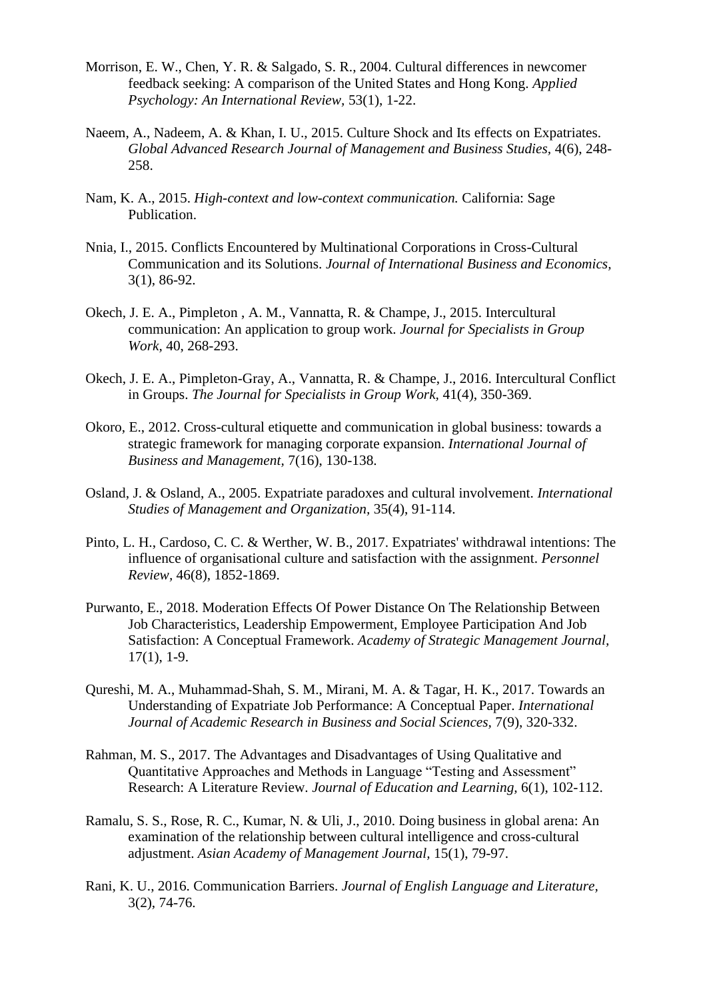- Morrison, E. W., Chen, Y. R. & Salgado, S. R., 2004. Cultural differences in newcomer feedback seeking: A comparison of the United States and Hong Kong. *Applied Psychology: An International Review,* 53(1), 1-22.
- Naeem, A., Nadeem, A. & Khan, I. U., 2015. Culture Shock and Its effects on Expatriates. *Global Advanced Research Journal of Management and Business Studies,* 4(6), 248- 258.
- Nam, K. A., 2015. *High-context and low-context communication.* California: Sage Publication.
- Nnia, I., 2015. Conflicts Encountered by Multinational Corporations in Cross-Cultural Communication and its Solutions. *Journal of International Business and Economics,*  3(1), 86-92.
- Okech, J. E. A., Pimpleton , A. M., Vannatta, R. & Champe, J., 2015. Intercultural communication: An application to group work. *Journal for Specialists in Group Work,* 40, 268-293.
- Okech, J. E. A., Pimpleton-Gray, A., Vannatta, R. & Champe, J., 2016. Intercultural Conflict in Groups. *The Journal for Specialists in Group Work,* 41(4), 350-369.
- Okoro, E., 2012. Cross-cultural etiquette and communication in global business: towards a strategic framework for managing corporate expansion. *International Journal of Business and Management,* 7(16), 130-138.
- Osland, J. & Osland, A., 2005. Expatriate paradoxes and cultural involvement. *International Studies of Management and Organization,* 35(4), 91-114.
- Pinto, L. H., Cardoso, C. C. & Werther, W. B., 2017. Expatriates' withdrawal intentions: The influence of organisational culture and satisfaction with the assignment. *Personnel Review,* 46(8), 1852-1869.
- Purwanto, E., 2018. Moderation Effects Of Power Distance On The Relationship Between Job Characteristics, Leadership Empowerment, Employee Participation And Job Satisfaction: A Conceptual Framework. *Academy of Strategic Management Journal,*  17(1), 1-9.
- Qureshi, M. A., Muhammad-Shah, S. M., Mirani, M. A. & Tagar, H. K., 2017. Towards an Understanding of Expatriate Job Performance: A Conceptual Paper. *International Journal of Academic Research in Business and Social Sciences,* 7(9), 320-332.
- Rahman, M. S., 2017. The Advantages and Disadvantages of Using Qualitative and Quantitative Approaches and Methods in Language "Testing and Assessment" Research: A Literature Review. *Journal of Education and Learning,* 6(1), 102-112.
- Ramalu, S. S., Rose, R. C., Kumar, N. & Uli, J., 2010. Doing business in global arena: An examination of the relationship between cultural intelligence and cross-cultural adjustment. *Asian Academy of Management Journal,* 15(1), 79-97.
- Rani, K. U., 2016. Communication Barriers. *Journal of English Language and Literature,*  3(2), 74-76.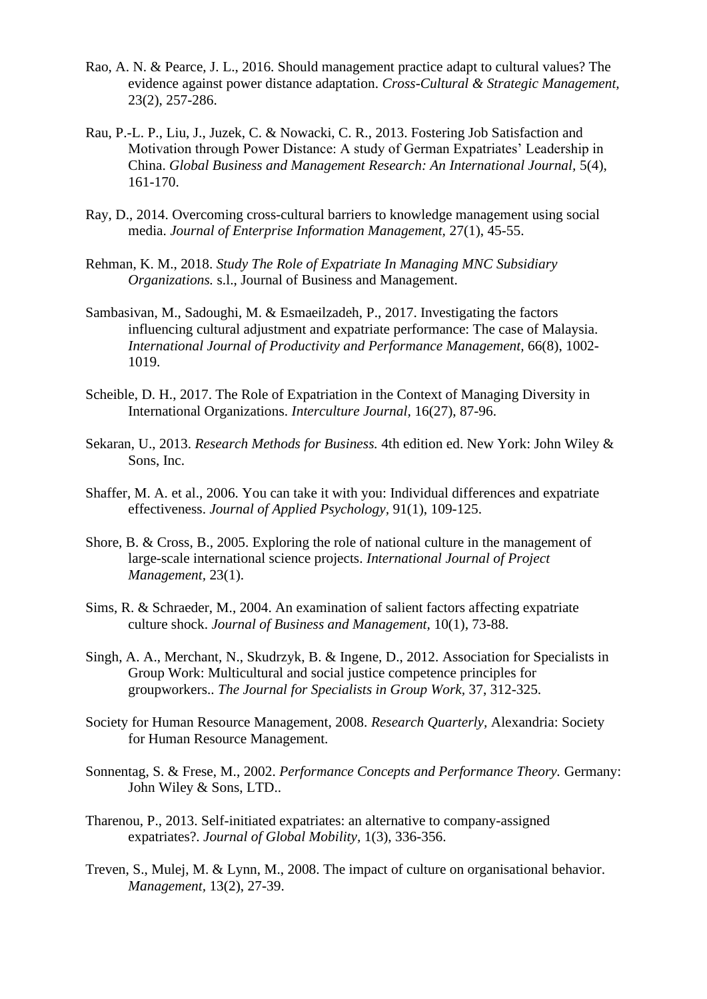- Rao, A. N. & Pearce, J. L., 2016. Should management practice adapt to cultural values? The evidence against power distance adaptation. *Cross-Cultural & Strategic Management,*  23(2), 257-286.
- Rau, P.-L. P., Liu, J., Juzek, C. & Nowacki, C. R., 2013. Fostering Job Satisfaction and Motivation through Power Distance: A study of German Expatriates' Leadership in China. *Global Business and Management Research: An International Journal,* 5(4), 161-170.
- Ray, D., 2014. Overcoming cross-cultural barriers to knowledge management using social media. *Journal of Enterprise Information Management,* 27(1), 45-55.
- Rehman, K. M., 2018. *Study The Role of Expatriate In Managing MNC Subsidiary Organizations.* s.l., Journal of Business and Management.
- Sambasivan, M., Sadoughi, M. & Esmaeilzadeh, P., 2017. Investigating the factors influencing cultural adjustment and expatriate performance: The case of Malaysia. *International Journal of Productivity and Performance Management,* 66(8), 1002- 1019.
- Scheible, D. H., 2017. The Role of Expatriation in the Context of Managing Diversity in International Organizations. *Interculture Journal,* 16(27), 87-96.
- Sekaran, U., 2013. *Research Methods for Business.* 4th edition ed. New York: John Wiley & Sons, Inc.
- Shaffer, M. A. et al., 2006. You can take it with you: Individual differences and expatriate effectiveness. *Journal of Applied Psychology,* 91(1), 109-125.
- Shore, B. & Cross, B., 2005. Exploring the role of national culture in the management of large-scale international science projects. *International Journal of Project Management,* 23(1).
- Sims, R. & Schraeder, M., 2004. An examination of salient factors affecting expatriate culture shock. *Journal of Business and Management,* 10(1), 73-88.
- Singh, A. A., Merchant, N., Skudrzyk, B. & Ingene, D., 2012. Association for Specialists in Group Work: Multicultural and social justice competence principles for groupworkers.. *The Journal for Specialists in Group Work,* 37, 312-325.
- Society for Human Resource Management, 2008. *Research Quarterly,* Alexandria: Society for Human Resource Management.
- Sonnentag, S. & Frese, M., 2002. *Performance Concepts and Performance Theory.* Germany: John Wiley & Sons, LTD..
- Tharenou, P., 2013. Self-initiated expatriates: an alternative to company-assigned expatriates?. *Journal of Global Mobility,* 1(3), 336-356.
- Treven, S., Mulej, M. & Lynn, M., 2008. The impact of culture on organisational behavior. *Management,* 13(2), 27-39.